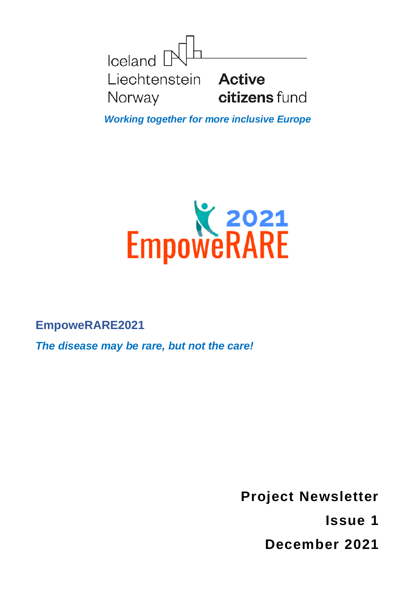

*Working together for more inclusive Europe*



**EmpoweRARE2021**

*The disease may be rare, but not the care!*

**Project Newsletter Issue 1 December 2021**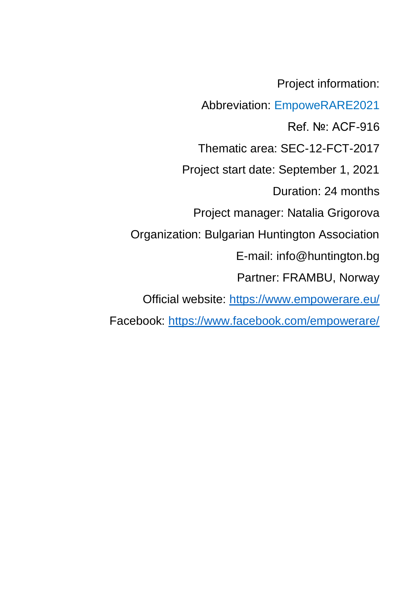Project information:

Abbreviation: EmpoweRARE2021

Ref. №: ACF-916

Thematic area: SEC-12-FCT-2017

Project start date: September 1, 2021

Duration: 24 months

Project manager: Natalia Grigorova

Organization: Bulgarian Huntington Association

E-mail: info@huntington.bg

Partner: FRAMBU, Norway

Official website:<https://www.empowerare.eu/>

Facebook:<https://www.facebook.com/empowerare/>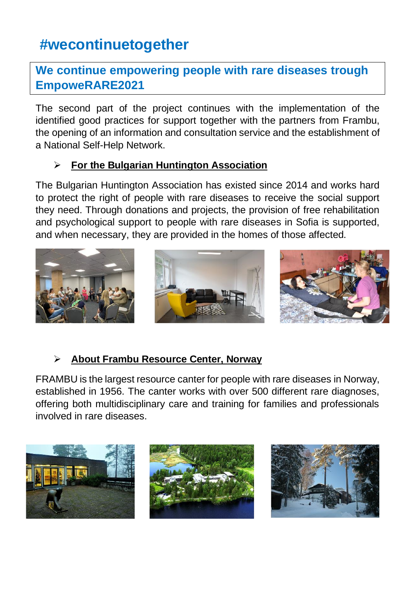# **#wecontinuetogether**

### **We continue empowering people with rare diseases trough EmpoweRARE2021**

The second part of the project continues with the implementation of the identified good practices for support together with the partners from Frambu, the opening of an information and consultation service and the establishment of a National Self-Help Network.

#### ➢ **For the Bulgarian Huntington Association**

The Bulgarian Huntington Association has existed since 2014 and works hard to protect the right of people with rare diseases to receive the social support they need. Through donations and projects, the provision of free rehabilitation and psychological support to people with rare diseases in Sofia is supported, and when necessary, they are provided in the homes of those affected.



### ➢ **About Frambu Resource Center, Norway**

FRAMBU is the largest resource canter for people with rare diseases in Norway, established in 1956. The canter works with over 500 different rare diagnoses, offering both multidisciplinary care and training for families and professionals involved in rare diseases.

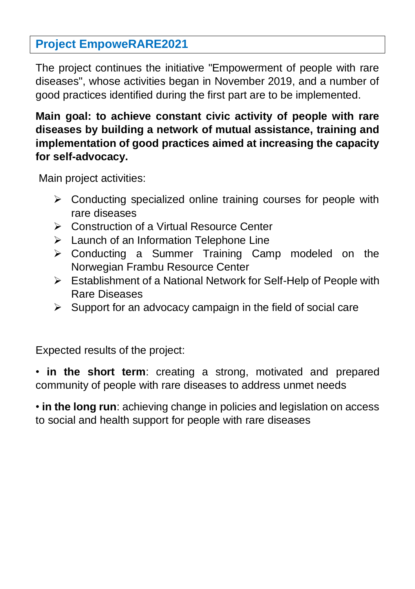### **Project EmpoweRARE2021**

The project continues the initiative "Empowerment of people with rare diseases", whose activities began in November 2019, and a number of good practices identified during the first part are to be implemented.

### **Main goal: to achieve constant civic activity of people with rare diseases by building a network of mutual assistance, training and implementation of good practices aimed at increasing the capacity for self-advocacy.**

Main project activities:

- ➢ Conducting specialized online training courses for people with rare diseases
- ➢ Construction of a Virtual Resource Center
- ➢ Launch of an Information Telephone Line
- ➢ Conducting a Summer Training Camp modeled on the Norwegian Frambu Resource Center
- ➢ Establishment of a National Network for Self-Help of People with Rare Diseases
- $\triangleright$  Support for an advocacy campaign in the field of social care

Expected results of the project:

• **in the short term**: creating a strong, motivated and prepared community of people with rare diseases to address unmet needs

• **in the long run**: achieving change in policies and legislation on access to social and health support for people with rare diseases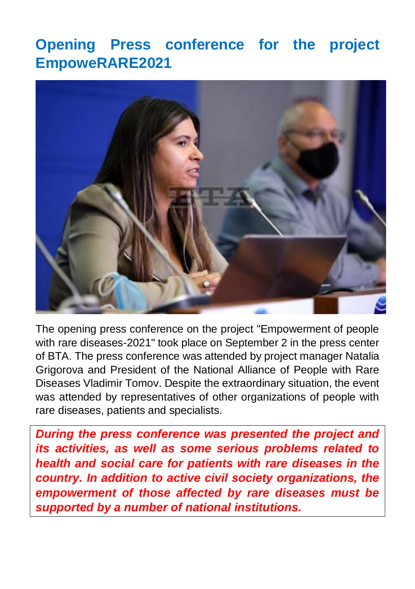# **Opening Press conference for the project EmpoweRARE2021**



The opening press conference on the project "Empowerment of people with rare diseases-2021" took place on September 2 in the press center of BTA. The press conference was attended by project manager Natalia Grigorova and President of the National Alliance of People with Rare Diseases Vladimir Tomov. Despite the extraordinary situation, the event was attended by representatives of other organizations of people with rare diseases, patients and specialists.

*During the press conference was presented the project and its activities, as well as some serious problems related to health and social care for patients with rare diseases in the country. In addition to active civil society organizations, the empowerment of those affected by rare diseases must be supported by a number of national institutions.*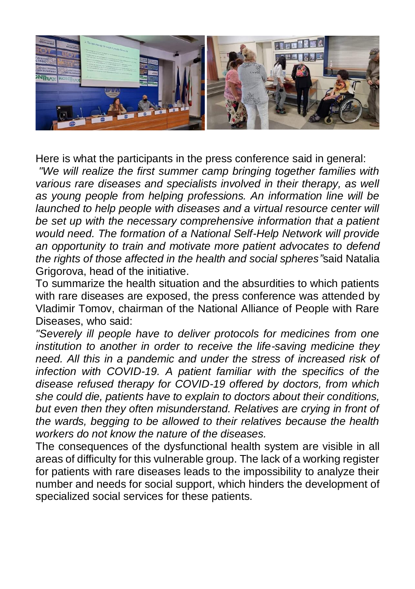

Here is what the participants in the press conference said in general:

*"We will realize the first summer camp bringing together families with various rare diseases and specialists involved in their therapy, as well as young people from helping professions. An information line will be launched to help people with diseases and a virtual resource center will be set up with the necessary comprehensive information that a patient would need. The formation of a National Self-Help Network will provide an opportunity to train and motivate more patient advocates to defend the rights of those affected in the health and social spheres"*said Natalia Grigorova, head of the initiative.

To summarize the health situation and the absurdities to which patients with rare diseases are exposed, the press conference was attended by Vladimir Tomov, chairman of the National Alliance of People with Rare Diseases, who said:

*"Severely ill people have to deliver protocols for medicines from one institution to another in order to receive the life-saving medicine they need. All this in a pandemic and under the stress of increased risk of infection with COVID-19. A patient familiar with the specifics of the disease refused therapy for COVID-19 offered by doctors, from which she could die, patients have to explain to doctors about their conditions, but even then they often misunderstand. Relatives are crying in front of the wards, begging to be allowed to their relatives because the health workers do not know the nature of the diseases.*

The consequences of the dysfunctional health system are visible in all areas of difficulty for this vulnerable group. The lack of a working register for patients with rare diseases leads to the impossibility to analyze their number and needs for social support, which hinders the development of specialized social services for these patients.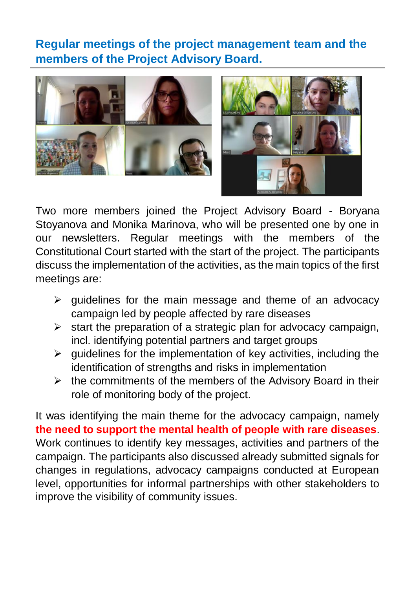**Regular meetings of the project management team and the members of the Project Advisory Board.**





Two more members joined the Project Advisory Board - Boryana Stoyanova and Monika Marinova, who will be presented one by one in our newsletters. Regular meetings with the members of the Constitutional Court started with the start of the project. The participants discuss the implementation of the activities, as the main topics of the first meetings are:

- $\triangleright$  guidelines for the main message and theme of an advocacy campaign led by people affected by rare diseases
- $\triangleright$  start the preparation of a strategic plan for advocacy campaign, incl. identifying potential partners and target groups
- $\triangleright$  quidelines for the implementation of key activities, including the identification of strengths and risks in implementation
- $\triangleright$  the commitments of the members of the Advisory Board in their role of monitoring body of the project.

It was identifying the main theme for the advocacy campaign, namely **the need to support the mental health of people with rare diseases**. Work continues to identify key messages, activities and partners of the campaign. The participants also discussed already submitted signals for changes in regulations, advocacy campaigns conducted at European level, opportunities for informal partnerships with other stakeholders to improve the visibility of community issues.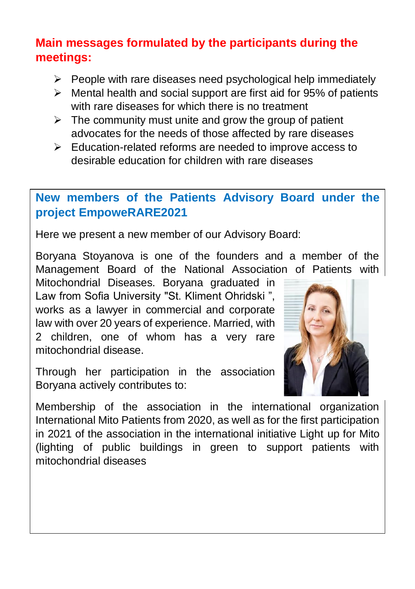## **Main messages formulated by the participants during the meetings:**

- ➢ People with rare diseases need psychological help immediately
- $\triangleright$  Mental health and social support are first aid for 95% of patients with rare diseases for which there is no treatment
- $\triangleright$  The community must unite and grow the group of patient advocates for the needs of those affected by rare diseases
- ➢ Education-related reforms are needed to improve access to desirable education for children with rare diseases

## **New members of the Patients Advisory Board under the project EmpoweRARE2021**

Here we present a new member of our Advisory Board:

Boryana Stoyanova is one of the founders and a member of the Management Board of the National Association of Patients with

Mitochondrial Diseases. Boryana graduated in Law from Sofia University "St. Kliment Ohridski ", works as a lawyer in commercial and corporate law with over 20 years of experience. Married, with 2 children, one of whom has a very rare mitochondrial disease.

Through her participation in the association Boryana actively contributes to:



Membership of the association in the international organization International Mito Patients from 2020, as well as for the first participation in 2021 of the association in the international initiative Light up for Mito (lighting of public buildings in green to support patients with mitochondrial diseases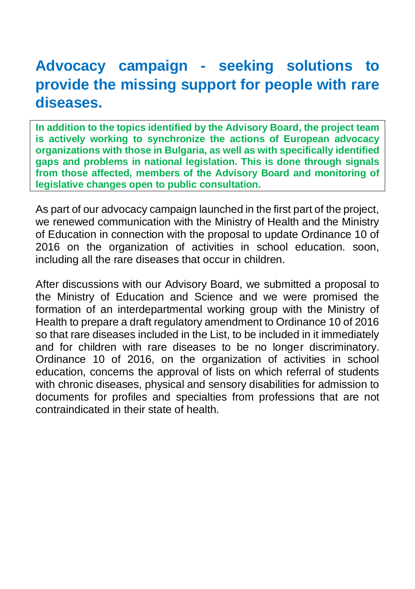# **Advocacy campaign - seeking solutions to provide the missing support for people with rare diseases.**

**In addition to the topics identified by the Advisory Board, the project team is actively working to synchronize the actions of European advocacy organizations with those in Bulgaria, as well as with specifically identified gaps and problems in national legislation. This is done through signals from those affected, members of the Advisory Board and monitoring of legislative changes open to public consultation.**

As part of our advocacy campaign launched in the first part of the project, we renewed communication with the Ministry of Health and the Ministry of Education in connection with the proposal to update Ordinance 10 of 2016 on the organization of activities in school education. soon, including all the rare diseases that occur in children.

After discussions with our Advisory Board, we submitted a proposal to the Ministry of Education and Science and we were promised the formation of an interdepartmental working group with the Ministry of Health to prepare a draft regulatory amendment to Ordinance 10 of 2016 so that rare diseases included in the List, to be included in it immediately and for children with rare diseases to be no longer discriminatory. Ordinance 10 of 2016, on the organization of activities in school education, concerns the approval of lists on which referral of students with chronic diseases, physical and sensory disabilities for admission to documents for profiles and specialties from professions that are not contraindicated in their state of health.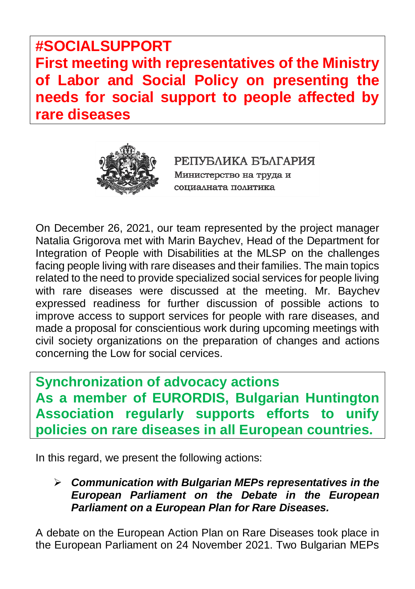**#SOCIALSUPPORT First meeting with representatives of the Ministry of Labor and Social Policy on presenting the needs for social support to people affected by rare diseases**



РЕПУБЛИКА БЪЛГАРИЯ Министерство на труда и социалната политика

On December 26, 2021, our team represented by the project manager Natalia Grigorova met with Marin Baychev, Head of the Department for Integration of People with Disabilities at the MLSP on the challenges facing people living with rare diseases and their families. The main topics related to the need to provide specialized social services for people living with rare diseases were discussed at the meeting. Mr. Baychev expressed readiness for further discussion of possible actions to improve access to support services for people with rare diseases, and made a proposal for conscientious work during upcoming meetings with civil society organizations on the preparation of changes and actions concerning the Low for social cervices.

**Synchronization of advocacy actions As a member of EURORDIS, Bulgarian Huntington Association regularly supports efforts to unify policies on rare diseases in all European countries.**

In this regard, we present the following actions:

➢ *Communication with Bulgarian MEPs representatives in the European Parliament on the Debate in the European Parliament on a European Plan for Rare Diseases.*

A debate on the European Action Plan on Rare Diseases took place in the European Parliament on 24 November 2021. Two Bulgarian MEPs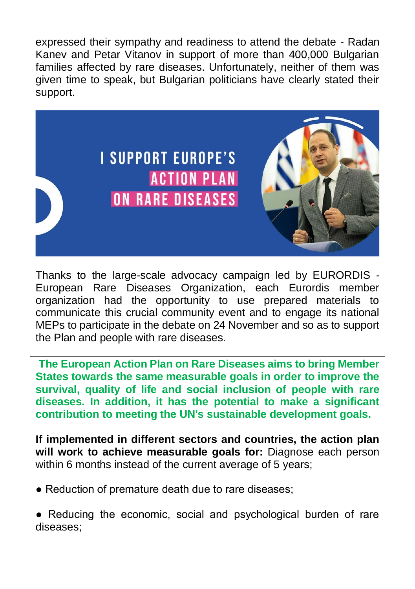expressed their sympathy and readiness to attend the debate - Radan Kanev and Petar Vitanov in support of more than 400,000 Bulgarian families affected by rare diseases. Unfortunately, neither of them was given time to speak, but Bulgarian politicians have clearly stated their support.



Thanks to the large-scale advocacy campaign led by EURORDIS - European Rare Diseases Organization, each Eurordis member organization had the opportunity to use prepared materials to communicate this crucial community event and to engage its national MEPs to participate in the debate on 24 November and so as to support the Plan and people with rare diseases.

**The European Action Plan on Rare Diseases aims to bring Member States towards the same measurable goals in order to improve the survival, quality of life and social inclusion of people with rare diseases. In addition, it has the potential to make a significant contribution to meeting the UN's sustainable development goals.**

**If implemented in different sectors and countries, the action plan will work to achieve measurable goals for:** Diagnose each person within 6 months instead of the current average of 5 years;

- Reduction of premature death due to rare diseases;
- Reducing the economic, social and psychological burden of rare diseases;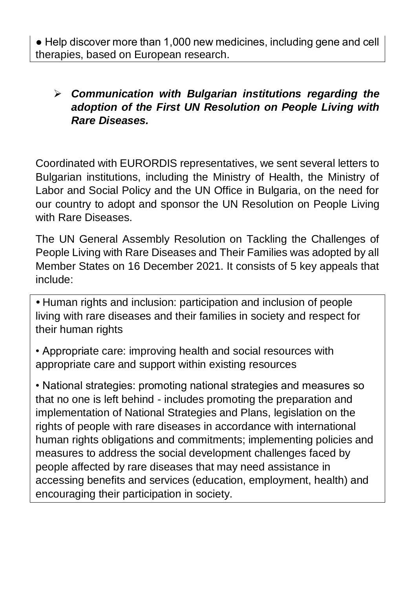● Help discover more than 1,000 new medicines, including gene and cell therapies, based on European research.

### ➢ *Communication with Bulgarian institutions regarding the adoption of the First UN Resolution on People Living with Rare Diseases.*

Coordinated with EURORDIS representatives, we sent several letters to Bulgarian institutions, including the Ministry of Health, the Ministry of Labor and Social Policy and the UN Office in Bulgaria, on the need for our country to adopt and sponsor the UN Resolution on People Living with Rare Diseases.

The UN General Assembly Resolution on Tackling the Challenges of People Living with Rare Diseases and Their Families was adopted by all Member States on 16 December 2021. It consists of 5 key appeals that include:

*•* Human rights and inclusion: participation and inclusion of people living with rare diseases and their families in society and respect for their human rights

• Appropriate care: improving health and social resources with appropriate care and support within existing resources

• National strategies: promoting national strategies and measures so that no one is left behind - includes promoting the preparation and implementation of National Strategies and Plans, legislation on the rights of people with rare diseases in accordance with international human rights obligations and commitments; implementing policies and measures to address the social development challenges faced by people affected by rare diseases that may need assistance in accessing benefits and services (education, employment, health) and encouraging their participation in society.